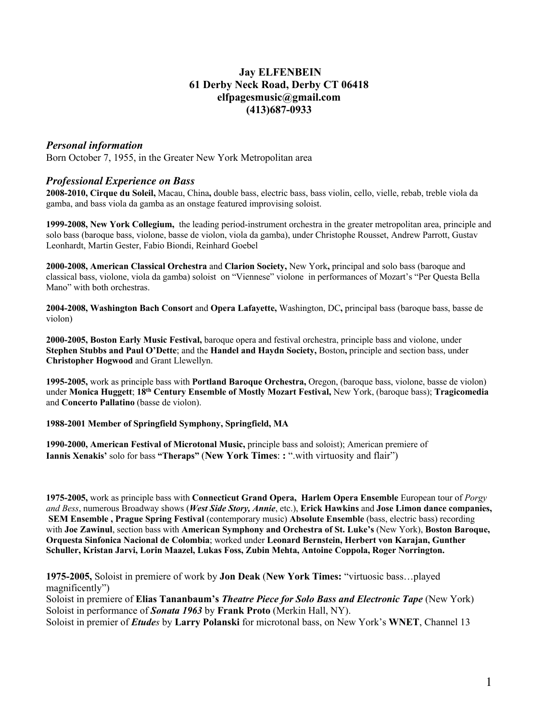# **Jay ELFENBEIN 61 Derby Neck Road, Derby CT 06418 elfpagesmusic@gmail.com (413)687-0933**

# *Personal information*

Born October 7, 1955, in the Greater New York Metropolitan area

### *Professional Experience on Bass*

**2008-2010, Cirque du Soleil,** Macau, China**,** double bass, electric bass, bass violin, cello, vielle, rebab, treble viola da gamba, and bass viola da gamba as an onstage featured improvising soloist.

**1999-2008, New York Collegium,** the leading period-instrument orchestra in the greater metropolitan area, principle and solo bass (baroque bass, violone, basse de violon, viola da gamba), under Christophe Rousset, Andrew Parrott, Gustav Leonhardt, Martin Gester, Fabio Biondi, Reinhard Goebel

**2000-2008, American Classical Orchestra** and **Clarion Society,** New York**,** principal and solo bass (baroque and classical bass, violone, viola da gamba) soloist on "Viennese" violone in performances of Mozart's "Per Questa Bella Mano" with both orchestras.

**2004-2008, Washington Bach Consort** and **Opera Lafayette,** Washington, DC**,** principal bass (baroque bass, basse de violon)

**2000-2005, Boston Early Music Festival,** baroque opera and festival orchestra, principle bass and violone, under **Stephen Stubbs and Paul O'Dette**; and the **Handel and Haydn Society,** Boston**,** principle and section bass, under **Christopher Hogwood** and Grant Llewellyn.

**1995-2005,** work as principle bass with **Portland Baroque Orchestra,** Oregon, (baroque bass, violone, basse de violon) under **Monica Huggett**; **18th Century Ensemble of Mostly Mozart Festival,** New York, (baroque bass); **Tragicomedia**  and **Concerto Pallatino** (basse de violon).

#### **1988-2001 Member of Springfield Symphony, Springfield, MA**

**1990-2000, American Festival of Microtonal Music,** principle bass and soloist); American premiere of **Iannis Xenakis'** solo for bass **"Theraps"** (**New York Times**: **:** ".with virtuosity and flair")

**1975-2005,** work as principle bass with **Connecticut Grand Opera, Harlem Opera Ensemble** European tour of *Porgy and Bess*, numerous Broadway shows (*West Side Story, Annie*, etc.), **Erick Hawkins** and **Jose Limon dance companies, SEM Ensemble , Prague Spring Festival** (contemporary music) **Absolute Ensemble** (bass, electric bass) recording with **Joe Zawinul**, section bass with **American Symphony and Orchestra of St. Luke's** (New York), **Boston Baroque, Orquesta Sinfonica Nacional de Colombia**; worked under **Leonard Bernstein, Herbert von Karajan, Gunther Schuller, Kristan Jarvi, Lorin Maazel, Lukas Foss, Zubin Mehta, Antoine Coppola, Roger Norrington.**

**1975-2005,** Soloist in premiere of work by **Jon Deak** (**New York Times:** "virtuosic bass…played magnificently")

Soloist in premiere of **Elias Tananbaum's** *Theatre Piece for Solo Bass and Electronic Tape* (New York) Soloist in performance of *Sonata 1963* by **Frank Proto** (Merkin Hall, NY). Soloist in premier of *Etudes* by **Larry Polanski** for microtonal bass, on New York's **WNET**, Channel 13

1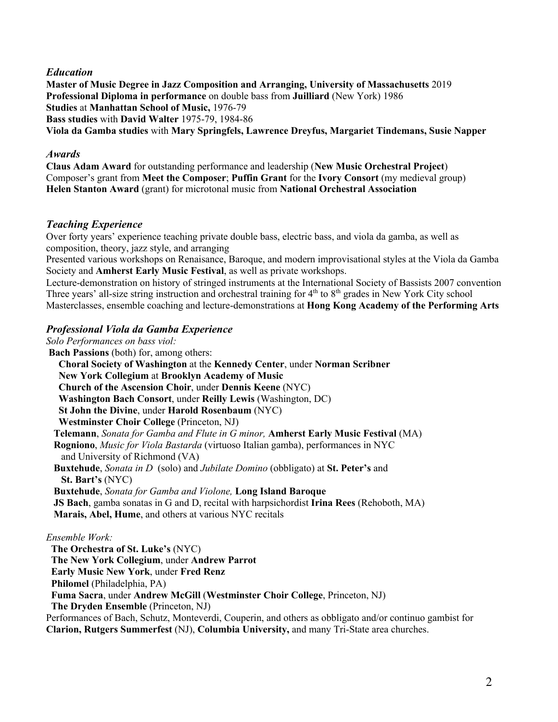## *Education*

**Master of Music Degree in Jazz Composition and Arranging, University of Massachusetts** 2019 **Professional Diploma in performance** on double bass from **Juilliard** (New York) 1986 **Studies** at **Manhattan School of Music,** 1976-79 **Bass studies** with **David Walter** 1975-79, 1984-86 **Viola da Gamba studies** with **Mary Springfels, Lawrence Dreyfus, Margariet Tindemans, Susie Napper**

### *Awards*

**Claus Adam Award** for outstanding performance and leadership (**New Music Orchestral Project**) Composer's grant from **Meet the Composer**; **Puffin Grant** for the **Ivory Consort** (my medieval group) **Helen Stanton Award** (grant) for microtonal music from **National Orchestral Association**

## *Teaching Experience*

Over forty years' experience teaching private double bass, electric bass, and viola da gamba, as well as composition, theory, jazz style, and arranging

Presented various workshops on Renaisance, Baroque, and modern improvisational styles at the Viola da Gamba Society and **Amherst Early Music Festival**, as well as private workshops.

Lecture-demonstration on history of stringed instruments at the International Society of Bassists 2007 convention Three years' all-size string instruction and orchestral training for 4<sup>th</sup> to 8<sup>th</sup> grades in New York City school Masterclasses, ensemble coaching and lecture-demonstrations at **Hong Kong Academy of the Performing Arts**

# *Professional Viola da Gamba Experience*

*Solo Performances on bass viol:* **Bach Passions** (both) for, among others: **Choral Society of Washington** at the **Kennedy Center**, under **Norman Scribner New York Collegium** at **Brooklyn Academy of Music Church of the Ascension Choir**, under **Dennis Keene** (NYC)  **Washington Bach Consort**, under **Reilly Lewis** (Washington, DC) **St John the Divine**, under **Harold Rosenbaum** (NYC) **Westminster Choir College** (Princeton, NJ) **Telemann**, *Sonata for Gamba and Flute in G minor,* **Amherst Early Music Festival** (MA) **Rogniono**, *Music for Viola Bastarda* (virtuoso Italian gamba), performances in NYC and University of Richmond (VA) **Buxtehude**, *Sonata in D* (solo) and *Jubilate Domino* (obbligato) at **St. Peter's** and **St. Bart's** (NYC) **Buxtehude**, *Sonata for Gamba and Violone,* **Long Island Baroque JS Bach**, gamba sonatas in G and D, recital with harpsichordist **Irina Rees** (Rehoboth, MA) **Marais, Abel, Hume**, and others at various NYC recitals *Ensemble Work:* **The Orchestra of St. Luke's** (NYC) **The New York Collegium**, under **Andrew Parrot Early Music New York**, under **Fred Renz**

**Philomel** (Philadelphia, PA)

**Fuma Sacra**, under **Andrew McGill** (**Westminster Choir College**, Princeton, NJ)

**The Dryden Ensemble** (Princeton, NJ)

Performances of Bach, Schutz, Monteverdi, Couperin, and others as obbligato and/or continuo gambist for **Clarion, Rutgers Summerfest** (NJ), **Columbia University,** and many Tri-State area churches.